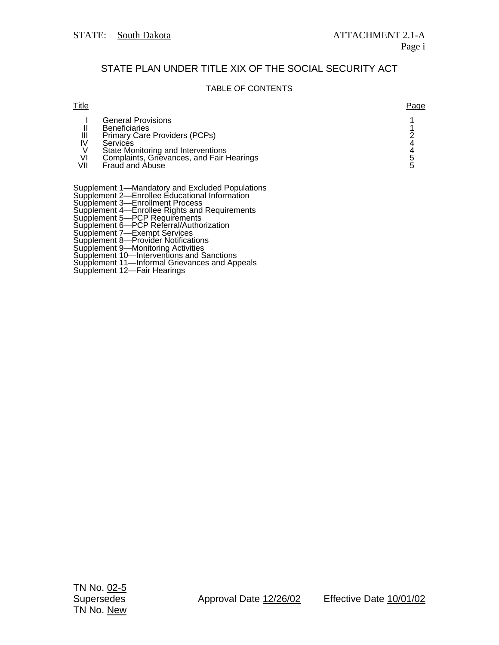## STATE PLAN UNDER TITLE XIX OF THE SOCIAL SECURITY ACT

## TABLE OF CONTENTS

| Title          |                                                                                                                                                                                                      | Page |
|----------------|------------------------------------------------------------------------------------------------------------------------------------------------------------------------------------------------------|------|
| Ш<br>VI<br>VII | <b>General Provisions</b><br><b>Beneficiaries</b><br>Primary Care Providers (PCPs)<br>Services<br>State Monitoring and Interventions<br>Complaints, Grievances, and Fair Hearings<br>Fraud and Abuse |      |
|                | Supplement 1—Mandatory and Excluded Populations                                                                                                                                                      |      |

Supplement 2—Enrollee Educational Information Supplement 3—Enrollment Process

Supplement 4—Enrollee Rights and Requirements

Supplement 5—PCP Requirements

Supplement 6—PCP Referral/Authorization

Supplement 7—Exempt Services

Supplement 8—Provider Notifications

Supplement 9—Monitoring Activities

Supplement 10—Interventions and Sanctions

Supplement 11—Informal Grievances and Appeals

Supplement 12—Fair Hearings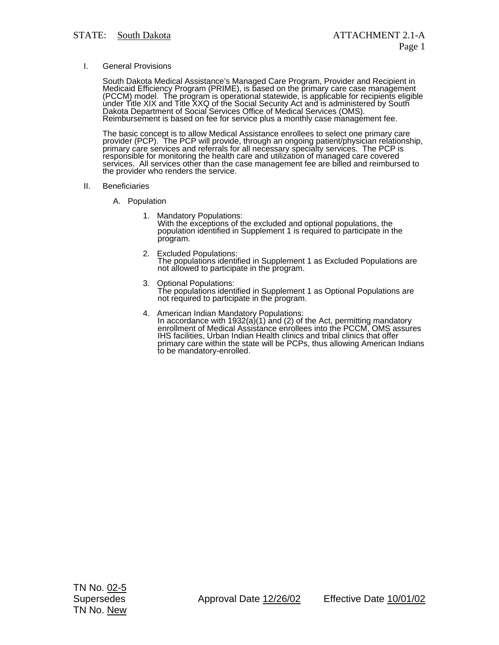## I. General Provisions

South Dakota Medical Assistance's Managed Care Program, Provider and Recipient in<br>Medicaid Efficiency Program (PRIME), is based on the primary care case management<br>(PCCM) model. The program is operational statewide, is app Dakota Department of Social Services Office of Medical Services (OMS). Reimbursement is based on fee for service plus a monthly case management fee.

The basic concept is to allow Medical Assistance enrollees to select one primary care provider (PCP). <sup>'</sup>The PCP will provide, through an ongoing patient/physician relationship,<br>primary care services and referrals for all necessary specialty services. The PCP is responsible for monitoring the health care and utilization of managed care covered services. All services other than the case management fee are billed and reimbursed to the provider who renders the service.

- II. Beneficiaries
	- A. Population
		- 1. Mandatory Populations: With the exceptions of the excluded and optional populations, the population identified in Supplement 1 is required to participate in the program.
		- 2. Excluded Populations: The populations identified in Supplement 1 as Excluded Populations are not allowed to participate in the program.
		- 3. Optional Populations: The populations identified in Supplement 1 as Optional Populations are not required to participate in the program.
		- 4. American Indian Mandatory Populations: In accordance with 1932(a)(1) and (2) of the Act, permitting mandatory enrollment of Medical Assistance enrollees into the PCCM, OMS assures IHS facilities, Urban Indian Health clinics and tribal clinics that offer primary care within the state will be PCPs, thus allowing American Indians to be mandatory-enrolled.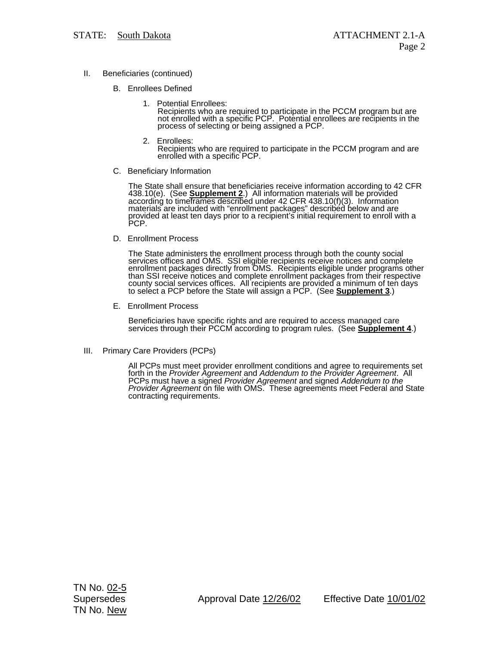- II. Beneficiaries (continued)
	- B. Enrollees Defined
		- 1. Potential Enrollees: Recipients who are required to participate in the PCCM program but are<br>not enrolled with a specific PCP. Potential enrollees are recipients in the process of selecting or being assigned a PCP.
		- 2. Enrollees: Recipients who are required to participate in the PCCM program and are enrolled with a specific PCP.
	- C. Beneficiary Information

The State shall ensure that beneficiaries receive information according to 42 CFR 438.10(e). (See **Supplement 2**.) All information materials will be provided according to time<br>frames described under 42 CFR 438.10(f)(3). I provided at least ten days prior to a recipient's initial requirement to enroll with a PCP.

D. Enrollment Process

The State administers the enrollment process through both the county social services offices and OMS. SSI eligible recipients receive notices and complete enrollment packages directly from OMS. Recipients eligible under programs other than SSI receive notices and complete enrollment packages from their respective county social services offices. All recipients are provided a minimum of ten days to select a PCP before the State will assign a PCP. (See **Supplement 3**.)

E. Enrollment Process

Beneficiaries have specific rights and are required to access managed care services through their PCCM according to program rules. (See **Supplement 4**.)

III. Primary Care Providers (PCPs)

All PCPs must meet provider enrollment conditions and agree to requirements set forth in the *Provider Agreement* and *Addendum to the Provider Agreement*. All PCPs must have a signed *Provider Agreement* and signed *Addendum to the Provider Agreement* on file with OMS. These agreements meet Federal and State<br>contracting requirements.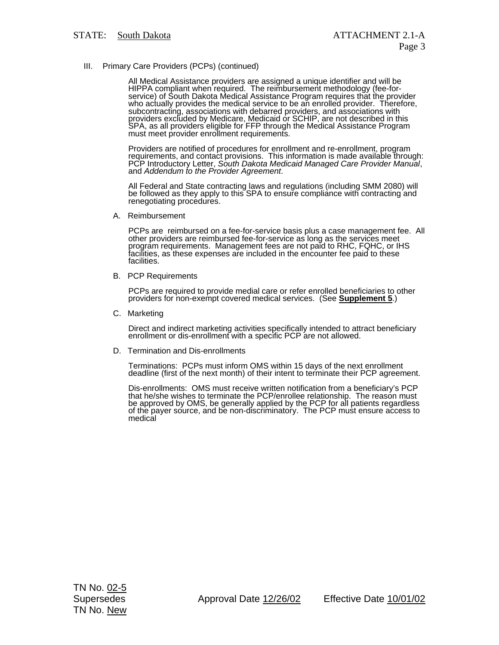III. Primary Care Providers (PCPs) (continued)

All Medical Assistance providers are assigned a unique identifier and will be HIPPA compliant when required. The reimbursement methodology (fee-for-<br>service) of South Dakota Medical Assistance Program requires that the provider<br>who actually provides the medical service to be an enrolled provider. Th providers excluded by Medicare, Medicaid or SCHIP, are not described in this SPA, as all providers eligible for FFP through the Medical Assistance Program<br>must meet provider enrollment requirements.

Providers are notified of procedures for enrollment and re-enrollment, program requirements, and contact provisions. This information is made available through: PCP Introductory Letter, *South Dakota Medicaid Managed Care Provider Manual*, and *Addendum to the Provider Agreement*.

All Federal and State contracting laws and regulations (including SMM 2080) will be followed as they apply to this SPA to ensure compliance with contracting and<br>renegotiating procedures.

A. Reimbursement

PCPs are reimbursed on a fee-for-service basis plus a case management fee. All<br>other providers are reimbursed fee-for-service as long as the services meet<br>program requirements. Management fees are not paid to RHC, FQHC, or facilities, as these expenses ar̃e included in the encounter fee paid to these<br>facilities.

B. PCP Requirements

PCPs are required to provide medial care or refer enrolled beneficiaries to other providers for non-exempt covered medical services. (See **Supplement 5**.)

C. Marketing

Direct and indirect marketing activities specifically intended to attract beneficiary enrollment or dis-enrollment with a specific PCP are not allowed.

D. Termination and Dis-enrollments

Terminations: PCPs must inform OMS within 15 days of the next enrollment deadline (first of the next month) of their intent to terminate their PCP agreement.

Dis-enrollments: OMS must receive written notification from a beneficiary's PCP<br>that he/she wishes to terminate the PCP/enrollee relationship. The reason must<br>be approved by OMS, be generally applied by the PCP for all pat of the payer source, and be non-discriminatory. The PCP must ensure access to<br>medical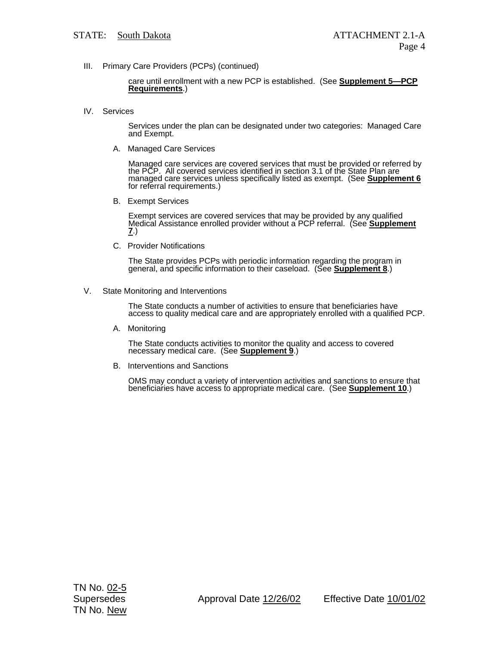III. Primary Care Providers (PCPs) (continued)

care until enrollment with a new PCP is established. (See **Supplement 5—PCP Requirements**.)

IV. Services

Services under the plan can be designated under two categories: Managed Care and Exempt.

A. Managed Care Services

Managed care services are covered services that must be provided or referred by the PCP. All covered services identified in section 3.1 of the State Plan are managed care services unless specifically listed as exempt. (See **Supplement 6** for referral requirements.)

B. Exempt Services

Exempt services are covered services that may be provided by any qualified Medical Assistance enrolled provider without a PCP referral. (See **Supplement 7**.)

C. Provider Notifications

The State provides PCPs with periodic information regarding the program in general, and specific information to their caseload. (See **Supplement 8**.)

V. State Monitoring and Interventions

The State conducts a number of activities to ensure that beneficiaries have access to quality medical care and are appropriately enrolled with a qualified PCP.

A. Monitoring

The State conducts activities to monitor the quality and access to covered necessary medical care. (See **Supplement 9**.)

B. Interventions and Sanctions

OMS may conduct a variety of intervention activities and sanctions to ensure that beneficiaries have access to appropriate medical care. (See **Supplement 10**.)